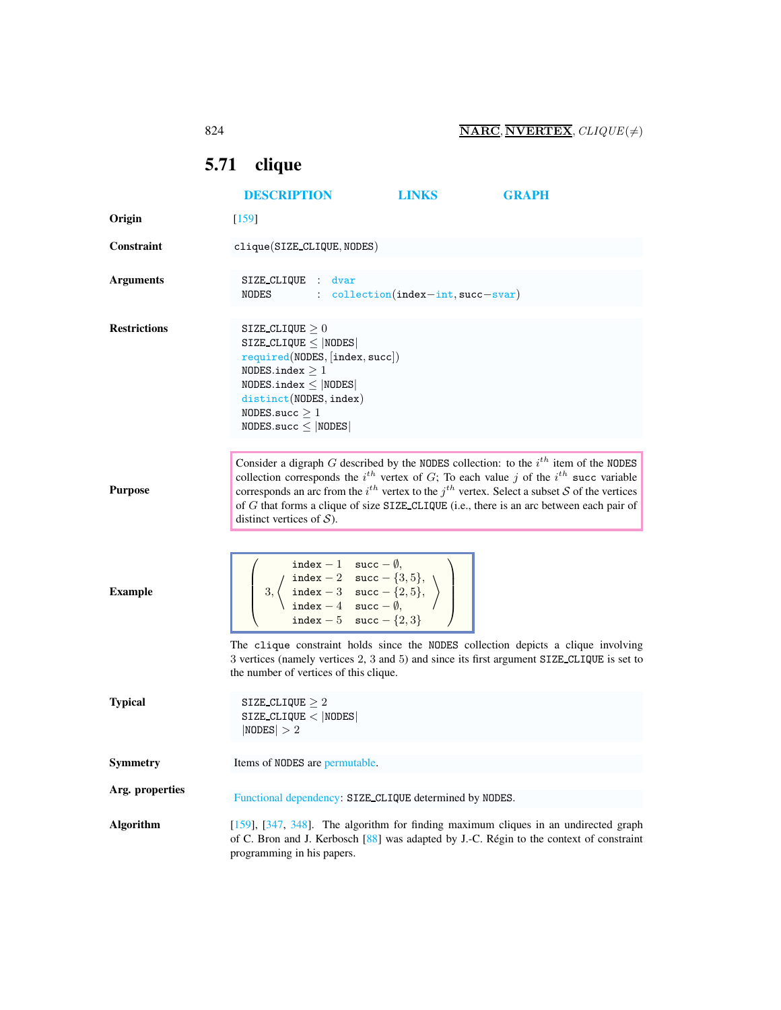## <span id="page-0-0"></span>5.71 clique

|                     | <b>DESCRIPTION</b>                                                                                                                                                                                                                                                                                                                                                                                                                | <b>LINKS</b> | <b>GRAPH</b> |
|---------------------|-----------------------------------------------------------------------------------------------------------------------------------------------------------------------------------------------------------------------------------------------------------------------------------------------------------------------------------------------------------------------------------------------------------------------------------|--------------|--------------|
| Origin              | $\lceil 159 \rceil$                                                                                                                                                                                                                                                                                                                                                                                                               |              |              |
| <b>Constraint</b>   | $clique(SIZE_CLIQUE, NODES)$                                                                                                                                                                                                                                                                                                                                                                                                      |              |              |
| <b>Arguments</b>    | SIZE CLIQUE : dvar<br>NODES : collection(index-int, succ-svar)                                                                                                                                                                                                                                                                                                                                                                    |              |              |
| <b>Restrictions</b> | SIZE CLIQUE $\geq 0$<br>$SIZE\_CLIQUE \leq  NODES $<br>required(NDDES, [index, succ])<br>NODES.index $\geq 1$<br>$NODES.index \leq  NODES $<br>distinct(NODES, index)<br>NODES.succ $\geq 1$<br>$NODES.size \leq  NODES $                                                                                                                                                                                                         |              |              |
| <b>Purpose</b>      | Consider a digraph $G$ described by the NODES collection: to the $i^{th}$ item of the NODES<br>collection corresponds the $i^{th}$ vertex of G; To each value j of the $i^{th}$ succ variable<br>corresponds an arc from the $i^{th}$ vertex to the $j^{th}$ vertex. Select a subset S of the vertices<br>of G that forms a clique of size SIZE_CLIQUE (i.e., there is an arc between each pair of<br>distinct vertices of $S$ ). |              |              |
| <b>Example</b>      | $\left\{\n \begin{array}{c}\n \text{index } -1 \quad \text{succ } -\emptyset, \\ 3, \left\{\n \begin{array}{cc}\n \text{index } -2 \quad \text{succ } -\{3,5\}, \\ \text{index } -3 \quad \text{succ } -\{2,5\}, \\ \text{index } -4 \quad \text{succ } -\emptyset,\n \end{array}\n\right\}\n \right\}$<br>index - 5 succ - $\{2,3\}$                                                                                             |              |              |
|                     | The clique constraint holds since the NODES collection depicts a clique involving<br>3 vertices (namely vertices 2, 3 and 5) and since its first argument SIZE CLIQUE is set to<br>the number of vertices of this clique.                                                                                                                                                                                                         |              |              |
| <b>Typical</b>      | SIZE_CLIQUE $\geq 2$<br>$SIZE\_CLIQUE <  NODE $<br> NODES  > 2                                                                                                                                                                                                                                                                                                                                                                    |              |              |
| Symmetry            | Items of NODES are permutable.                                                                                                                                                                                                                                                                                                                                                                                                    |              |              |
| Arg. properties     | Functional dependency: SIZE_CLIQUE determined by NODES.                                                                                                                                                                                                                                                                                                                                                                           |              |              |
| <b>Algorithm</b>    | [159], [347, 348]. The algorithm for finding maximum cliques in an undirected graph<br>of C. Bron and J. Kerbosch [88] was adapted by J.-C. Régin to the context of constraint<br>programming in his papers.                                                                                                                                                                                                                      |              |              |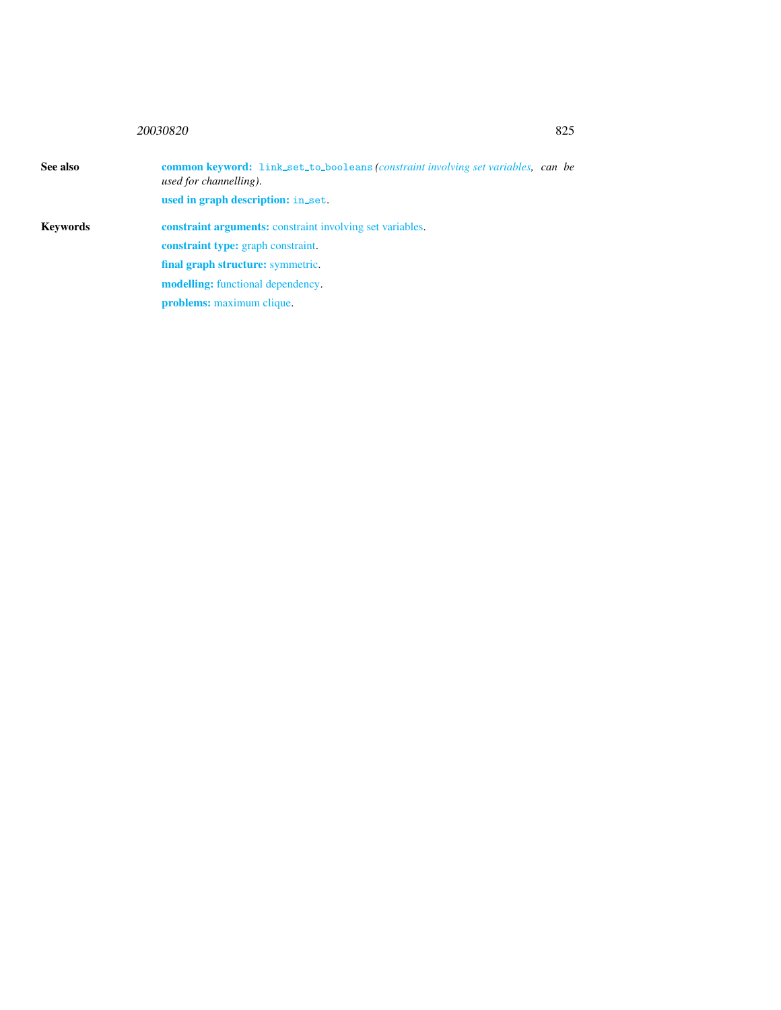## <sup>20030820</sup> 825

<span id="page-1-0"></span>

| See also | <b>common keyword:</b> link_set_to_booleans ( <i>constraint involving set variables, can be</i><br>used for channelling). |  |
|----------|---------------------------------------------------------------------------------------------------------------------------|--|
|          | used in graph description: in_set.                                                                                        |  |
| Kevwords | <b>constraint arguments:</b> constraint involving set variables.                                                          |  |
|          | <b>constraint type:</b> graph constraint.                                                                                 |  |
|          | final graph structure: symmetric.                                                                                         |  |
|          | <b>modelling:</b> functional dependency.                                                                                  |  |
|          | <b>problems:</b> maximum clique.                                                                                          |  |
|          |                                                                                                                           |  |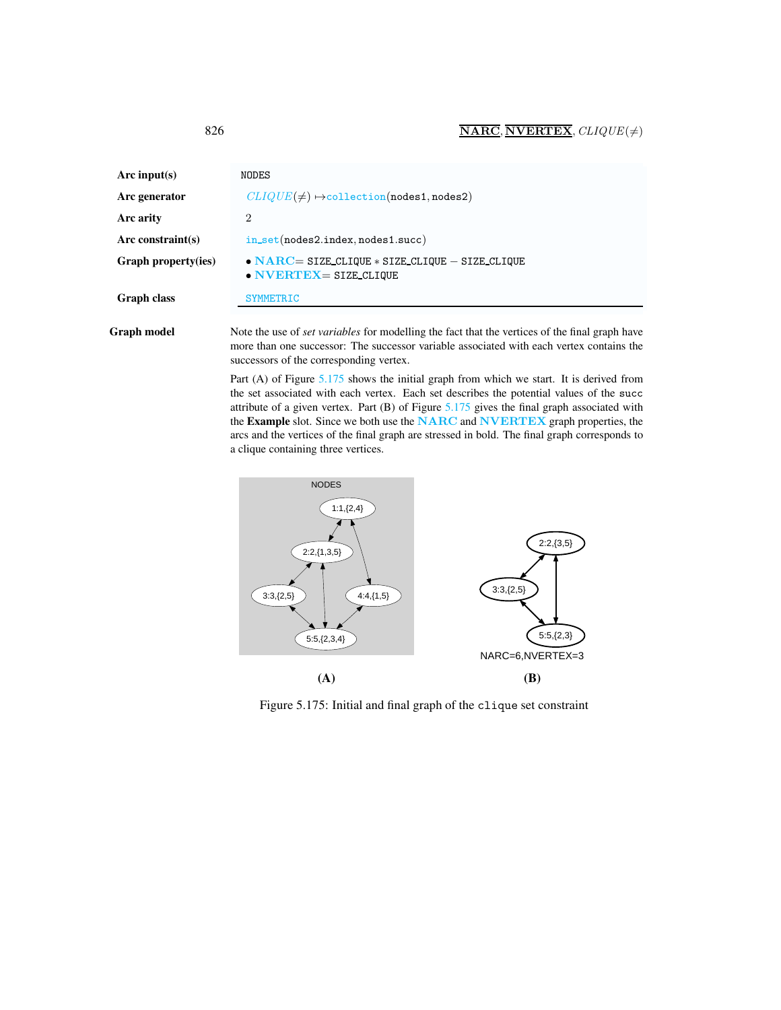| Arc input(s)        | NODES                                                                                                 |
|---------------------|-------------------------------------------------------------------------------------------------------|
| Arc generator       | $CLIQUE(\neq) \rightarrow$ collection(nodes1,nodes2)                                                  |
| Arc arity           | 2                                                                                                     |
| Arc constraint(s)   | $in_set(node2.index, nodes1.succ)$                                                                    |
| Graph property(ies) | $\bullet$ NARC= SIZE CLIQUE $\ast$ SIZE CLIQUE - SIZE CLIQUE<br>$\bullet$ NVERTEX = SIZE CLIQUE       |
| Graph class         | <b>SYMMETRIC</b>                                                                                      |
| Graph model         | Note the use of <i>set variables</i> for modelling the fact that the vertices of the final graph have |

more than one successor: The successor variable associated with each vertex contains the successors of the corresponding vertex.

Part (A) of Figure [5.175](#page-2-1) shows the initial graph from which we start. It is derived from the set associated with each vertex. Each set describes the potential values of the succ attribute of a given vertex. Part (B) of Figure [5.175](#page-2-1) gives the final graph associated with the Example slot. Since we both use the NARC and NVERTEX graph properties, the arcs and the vertices of the final graph are stressed in bold. The final graph corresponds to a clique containing three vertices.



<span id="page-2-1"></span>Figure 5.175: Initial and final graph of the clique set constraint

<span id="page-2-0"></span>